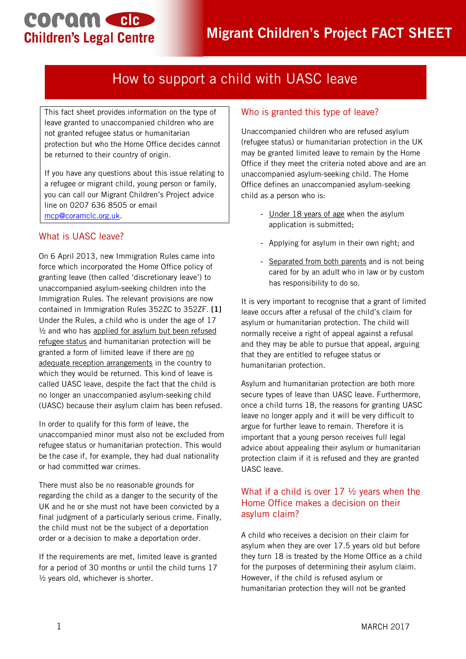# coram cle **Children's Legal Centre**

## How to support a child with UASC leave

This fact sheet provides information on the type of leave granted to unaccompanied children who are not granted refugee status or humanitarian protection but who the Home Office decides cannot be returned to their country of origin.

If you have any questions about this issue relating to a refugee or migrant child, young person or family, you can call our Migrant Children's Project advice line on 0207 636 8505 or email [mcp@coramclc.org.uk.](mailto:mcp@coramclc.org.uk)

#### What is UASC leave?

On 6 April 2013, new Immigration Rules came into force which incorporated the Home Office policy of granting leave (then called 'discretionary leave') to unaccompanied asylum-seeking children into the Immigration Rules. The relevant provisions are now contained in Immigration Rules 352ZC to 352ZF. **[1]**  Under the Rules, a child who is under the age of 17  $\frac{1}{2}$  and who has applied for asylum but been refused refugee status and humanitarian protection will be granted a form of limited leave if there are no adequate reception arrangements in the country to which they would be returned. This kind of leave is called UASC leave, despite the fact that the child is no longer an unaccompanied asylum-seeking child (UASC) because their asylum claim has been refused.

In order to qualify for this form of leave, the unaccompanied minor must also not be excluded from refugee status or humanitarian protection. This would be the case if, for example, they had dual nationality or had committed war crimes.

There must also be no reasonable grounds for regarding the child as a danger to the security of the UK and he or she must not have been convicted by a final judgment of a particularly serious crime. Finally, the child must not be the subject of a deportation order or a decision to make a deportation order.

If the requirements are met, limited leave is granted for a period of 30 months or until the child turns 17  $\frac{1}{2}$  years old, whichever is shorter.

#### Who is granted this type of leave?

Unaccompanied children who are refused asylum (refugee status) or humanitarian protection in the UK may be granted limited leave to remain by the Home Office if they meet the criteria noted above and are an unaccompanied asylum-seeking child. The Home Office defines an unaccompanied asylum-seeking child as a person who is:

- Under 18 years of age when the asylum application is submitted;
- Applying for asylum in their own right; and
- Separated from both parents and is not being cared for by an adult who in law or by custom has responsibility to do so.

It is very important to recognise that a grant of limited leave occurs after a refusal of the child's claim for asylum or humanitarian protection. The child will normally receive a right of appeal against a refusal and they may be able to pursue that appeal, arguing that they are entitled to refugee status or humanitarian protection.

Asylum and humanitarian protection are both more secure types of leave than UASC leave. Furthermore, once a child turns 18, the reasons for granting UASC leave no longer apply and it will be very difficult to argue for further leave to remain. Therefore it is important that a young person receives full legal advice about appealing their asylum or humanitarian protection claim if it is refused and they are granted UASC leave.

#### What if a child is over  $17 \frac{1}{2}$  years when the Home Office makes a decision on their asylum claim?

A child who receives a decision on their claim for asylum when they are over 17.5 years old but before they turn 18 is treated by the Home Office as a child for the purposes of determining their asylum claim. However, if the child is refused asylum or humanitarian protection they will not be granted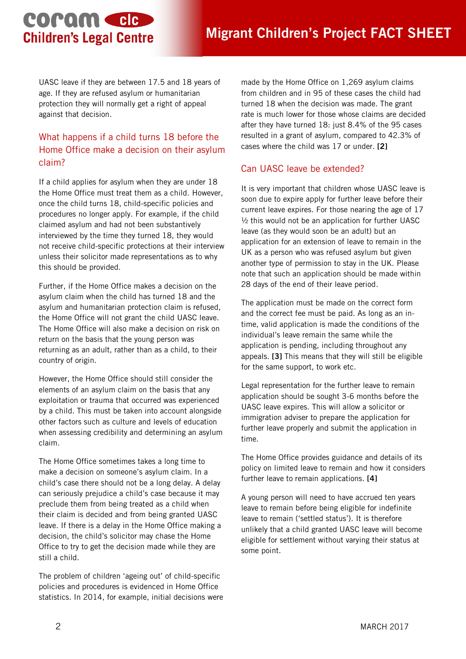# coram cle **Children's Legal Centre**

UASC leave if they are between 17.5 and 18 years of age. If they are refused asylum or humanitarian protection they will normally get a right of appeal against that decision.

### What happens if a child turns 18 before the Home Office make a decision on their asylum claim?

If a child applies for asylum when they are under 18 the Home Office must treat them as a child. However, once the child turns 18, child-specific policies and procedures no longer apply. For example, if the child claimed asylum and had not been substantively interviewed by the time they turned 18, they would not receive child-specific protections at their interview unless their solicitor made representations as to why this should be provided.

Further, if the Home Office makes a decision on the asylum claim when the child has turned 18 and the asylum and humanitarian protection claim is refused, the Home Office will not grant the child UASC leave. The Home Office will also make a decision on risk on return on the basis that the young person was returning as an adult, rather than as a child, to their country of origin.

However, the Home Office should still consider the elements of an asylum claim on the basis that any exploitation or trauma that occurred was experienced by a child. This must be taken into account alongside other factors such as culture and levels of education when assessing credibility and determining an asylum claim.

The Home Office sometimes takes a long time to make a decision on someone's asylum claim. In a child's case there should not be a long delay. A delay can seriously prejudice a child's case because it may preclude them from being treated as a child when their claim is decided and from being granted UASC leave. If there is a delay in the Home Office making a decision, the child's solicitor may chase the Home Office to try to get the decision made while they are still a child.

The problem of children 'ageing out' of child-specific policies and procedures is evidenced in Home Office statistics. In 2014, for example, initial decisions were made by the Home Office on 1,269 asylum claims from children and in 95 of these cases the child had turned 18 when the decision was made. The grant rate is much lower for those whose claims are decided after they have turned 18: just 8.4% of the 95 cases resulted in a grant of asylum, compared to 42.3% of cases where the child was 17 or under. **[2]**

### Can UASC leave be extended?

It is very important that children whose UASC leave is soon due to expire apply for further leave before their current leave expires. For those nearing the age of 17  $\frac{1}{2}$  this would not be an application for further UASC leave (as they would soon be an adult) but an application for an extension of leave to remain in the UK as a person who was refused asylum but given another type of permission to stay in the UK. Please note that such an application should be made within 28 days of the end of their leave period.

The application must be made on the correct form and the correct fee must be paid. As long as an intime, valid application is made the conditions of the individual's leave remain the same while the application is pending, including throughout any appeals. **[3]** This means that they will still be eligible for the same support, to work etc.

Legal representation for the further leave to remain application should be sought 3-6 months before the UASC leave expires. This will allow a solicitor or immigration adviser to prepare the application for further leave properly and submit the application in time.

The Home Office provides guidance and details of its policy on limited leave to remain and how it considers further leave to remain applications. **[4]**

A young person will need to have accrued ten years leave to remain before being eligible for indefinite leave to remain ('settled status'). It is therefore unlikely that a child granted UASC leave will become eligible for settlement without varying their status at some point.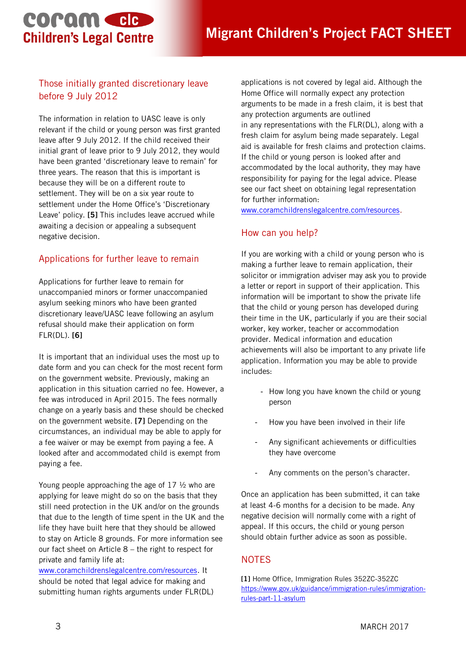# coram cle **Children's Legal Centre**

### Those initially granted discretionary leave before 9 July 2012

The information in relation to UASC leave is only relevant if the child or young person was first granted leave after 9 July 2012. If the child received their initial grant of leave prior to 9 July 2012, they would have been granted 'discretionary leave to remain' for three years. The reason that this is important is because they will be on a different route to settlement. They will be on a six year route to settlement under the Home Office's 'Discretionary Leave' policy. **[5]** This includes leave accrued while awaiting a decision or appealing a subsequent negative decision.

### Applications for further leave to remain

Applications for further leave to remain for unaccompanied minors or former unaccompanied asylum seeking minors who have been granted discretionary leave/UASC leave following an asylum refusal should make their application on form FLR(DL). **[6]**

It is important that an individual uses the most up to date form and you can check for the most recent form on the government website. Previously, making an application in this situation carried no fee. However, a fee was introduced in April 2015. The fees normally change on a yearly basis and these should be checked on the government website. **[7]** Depending on the circumstances, an individual may be able to apply for a fee waiver or may be exempt from paying a fee. A looked after and accommodated child is exempt from paying a fee.

Young people approaching the age of 17 ½ who are applying for leave might do so on the basis that they still need protection in the UK and/or on the grounds that due to the length of time spent in the UK and the life they have built here that they should be allowed to stay on Article 8 grounds. For more information see our fact sheet on Article 8 – the right to respect for private and family life at:

[www.coramchildrenslegalcentre.com/resources.](http://www.coramchildrenslegalcentre.com/resources) It should be noted that legal advice for making and submitting human rights arguments under FLR(DL) applications is not covered by legal aid. Although the Home Office will normally expect any protection arguments to be made in a fresh claim, it is best that any protection arguments are outlined in any representations with the FLR(DL), along with a fresh claim for asylum being made separately. Legal aid is available for fresh claims and protection claims. If the child or young person is looked after and accommodated by the local authority, they may have responsibility for paying for the legal advice. Please see our fact sheet on obtaining legal representation for further information:

[www.coramchildrenslegalcentre.com/resources.](http://www.coramchildrenslegalcentre.com/resources)

#### How can you help?

If you are working with a child or young person who is making a further leave to remain application, their solicitor or immigration adviser may ask you to provide a letter or report in support of their application. This information will be important to show the private life that the child or young person has developed during their time in the UK, particularly if you are their social worker, key worker, teacher or accommodation provider. Medical information and education achievements will also be important to any private life application. Information you may be able to provide includes:

- How long you have known the child or young person
- How you have been involved in their life
- Any significant achievements or difficulties they have overcome
- Any comments on the person's character.

Once an application has been submitted, it can take at least 4-6 months for a decision to be made. Any negative decision will normally come with a right of appeal. If this occurs, the child or young person should obtain further advice as soon as possible.

### **NOTES**

**[1]** Home Office, Immigration Rules 352ZC-352ZC [https://www.gov.uk/guidance/immigration-rules/immigration](https://www.gov.uk/guidance/immigration-rules/immigration-rules-part-11-asylum)[rules-part-11-asylum](https://www.gov.uk/guidance/immigration-rules/immigration-rules-part-11-asylum)